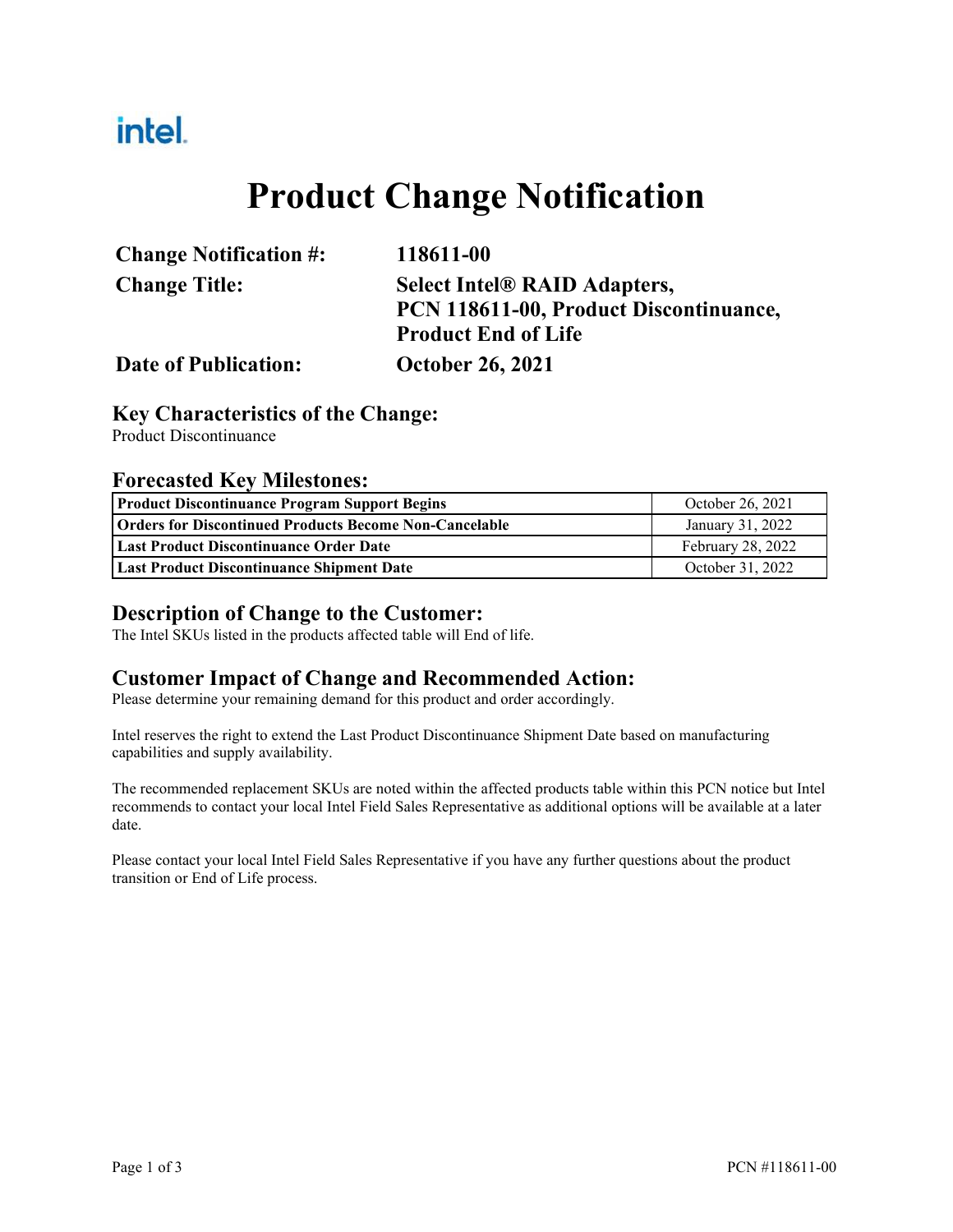## intel.

# **Product Change Notification**

| <b>Change Notification #:</b> | 118611-00                              |
|-------------------------------|----------------------------------------|
| <b>Change Title:</b>          | <b>Select Intel® RAID Adapters,</b>    |
|                               | PCN 118611-00, Product Discontinuance, |
|                               | <b>Product End of Life</b>             |
| <b>Date of Publication:</b>   | <b>October 26, 2021</b>                |

#### **Key Characteristics of the Change:**

Product Discontinuance

#### **Forecasted Key Milestones:**

| <b>Product Discontinuance Program Support Begins</b>          | October 26, 2021         |
|---------------------------------------------------------------|--------------------------|
| <b>Orders for Discontinued Products Become Non-Cancelable</b> | January 31, 2022         |
| <b>Last Product Discontinuance Order Date</b>                 | <b>February 28, 2022</b> |
| <b>Last Product Discontinuance Shipment Date</b>              | October 31, 2022         |

#### **Description of Change to the Customer:**

The Intel SKUs listed in the products affected table will End of life.

#### **Customer Impact of Change and Recommended Action:**

Please determine your remaining demand for this product and order accordingly.

Intel reserves the right to extend the Last Product Discontinuance Shipment Date based on manufacturing capabilities and supply availability.

The recommended replacement SKUs are noted within the affected products table within this PCN notice but Intel recommends to contact your local Intel Field Sales Representative as additional options will be available at a later date.

Please contact your local Intel Field Sales Representative if you have any further questions about the product transition or End of Life process.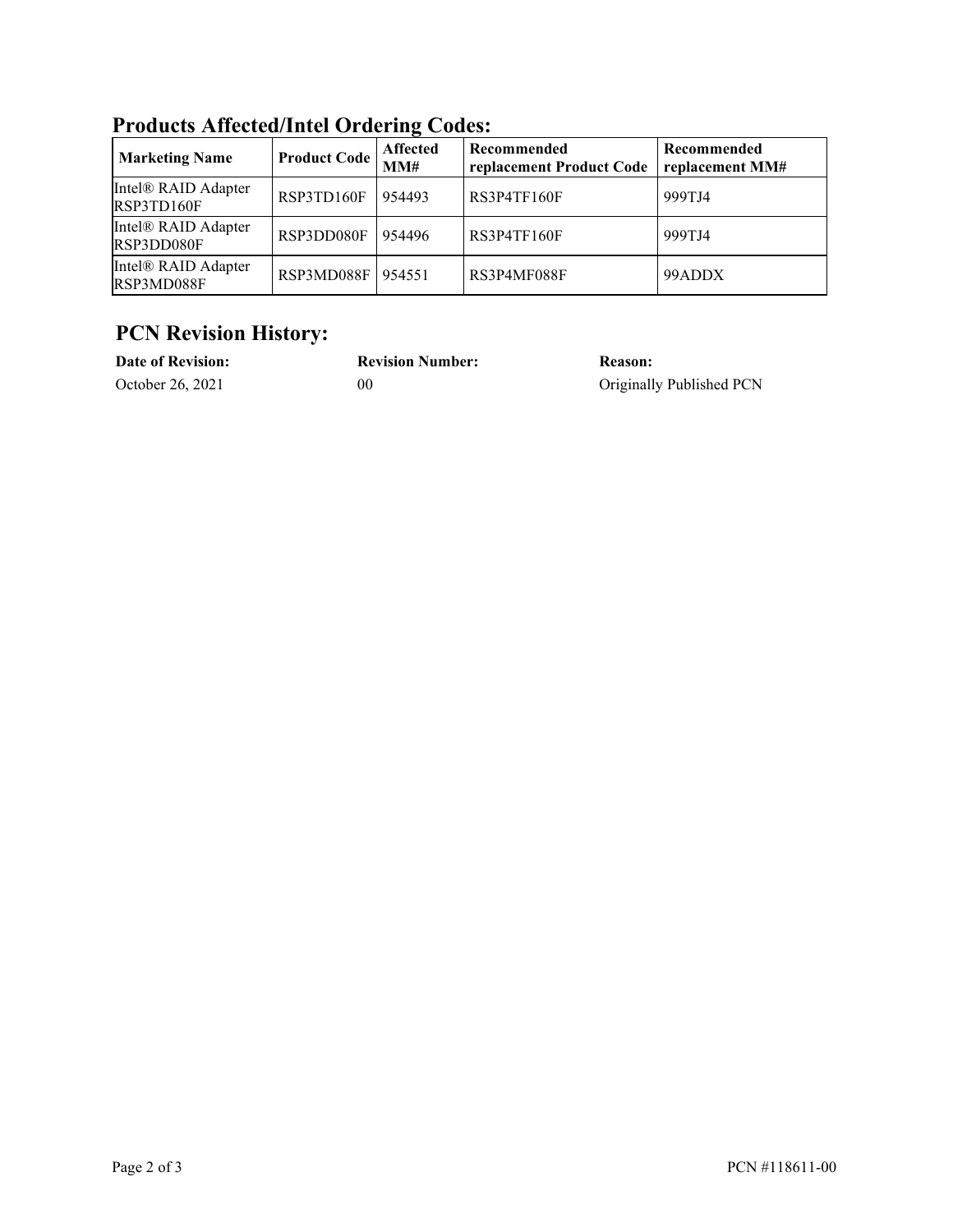| <b>Marketing Name</b>             | <b>Product Code</b> | <b>Affected</b><br>MM# | Recommended<br>replacement Product Code | Recommended<br>replacement MM# |  |
|-----------------------------------|---------------------|------------------------|-----------------------------------------|--------------------------------|--|
| Intel® RAID Adapter<br>RSP3TD160F | RSP3TD160F          | 954493                 | RS3P4TF160F                             | 999TJ4                         |  |
| Intel® RAID Adapter<br>RSP3DD080F | RSP3DD080F          | 954496                 | RS3P4TF160F                             | 999TJ4                         |  |
| Intel® RAID Adapter<br>RSP3MD088F | RSP3MD088F   954551 |                        | RS3P4MF088F                             | 99ADDX                         |  |

**Products Affected/Intel Ordering Codes:**

### **PCN Revision History:**

| <b>Date of Revision:</b> | <b>Revision Number:</b> | Reason:                  |
|--------------------------|-------------------------|--------------------------|
| October 26, 2021         | 00                      | Originally Published PCN |